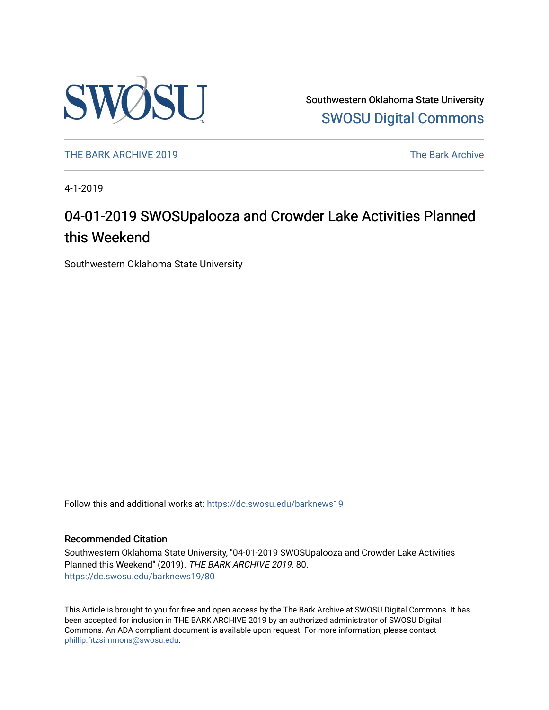

Southwestern Oklahoma State University [SWOSU Digital Commons](https://dc.swosu.edu/) 

[THE BARK ARCHIVE 2019](https://dc.swosu.edu/barknews19) The Bark Archive

4-1-2019

### 04-01-2019 SWOSUpalooza and Crowder Lake Activities Planned this Weekend

Southwestern Oklahoma State University

Follow this and additional works at: [https://dc.swosu.edu/barknews19](https://dc.swosu.edu/barknews19?utm_source=dc.swosu.edu%2Fbarknews19%2F80&utm_medium=PDF&utm_campaign=PDFCoverPages)

#### Recommended Citation

Southwestern Oklahoma State University, "04-01-2019 SWOSUpalooza and Crowder Lake Activities Planned this Weekend" (2019). THE BARK ARCHIVE 2019. 80. [https://dc.swosu.edu/barknews19/80](https://dc.swosu.edu/barknews19/80?utm_source=dc.swosu.edu%2Fbarknews19%2F80&utm_medium=PDF&utm_campaign=PDFCoverPages) 

This Article is brought to you for free and open access by the The Bark Archive at SWOSU Digital Commons. It has been accepted for inclusion in THE BARK ARCHIVE 2019 by an authorized administrator of SWOSU Digital Commons. An ADA compliant document is available upon request. For more information, please contact [phillip.fitzsimmons@swosu.edu](mailto:phillip.fitzsimmons@swosu.edu).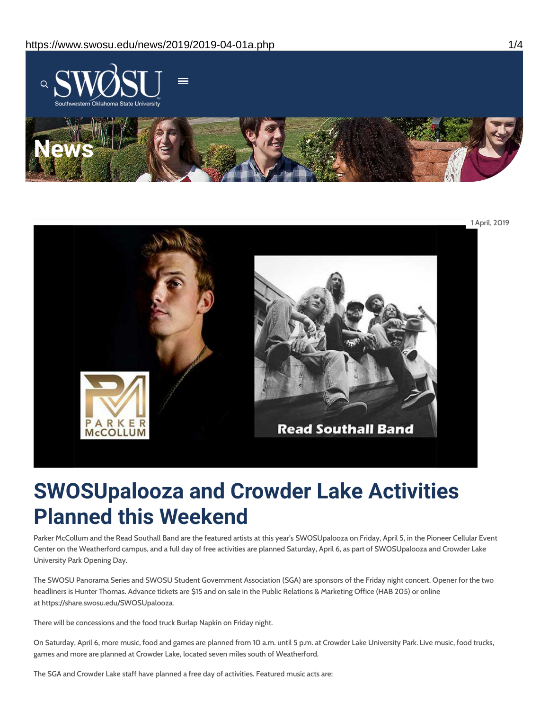



## **SWOSUpalooza and Crowder Lake Activities Planned this Weekend**

Parker McCollum and the Read Southall Band are the featured artists at this year's SWOSUpalooza on Friday, April 5, in the Pioneer Cellular Event Center on the Weatherford campus, and a full day of free activities are planned Saturday, April 6, as part of SWOSUpalooza and Crowder Lake University Park Opening Day.

The SWOSU Panorama Series and SWOSU Student Government Association (SGA) are sponsors of the Friday night concert. Opener for the two headliners is Hunter Thomas. Advance tickets are \$15 and on sale in the Public Relations & Marketing Office (HAB 205) or online at https://share.swosu.edu/SWOSUpalooza.

There will be concessions and the food truck Burlap Napkin on Friday night.

On Saturday, April 6, more music, food and games are planned from 10 a.m. until 5 p.m. at Crowder Lake University Park. Live music, food trucks, games and more are planned at Crowder Lake, located seven miles south of Weatherford.

The SGA and Crowder Lake staff have planned a free day of activities. Featured music acts are: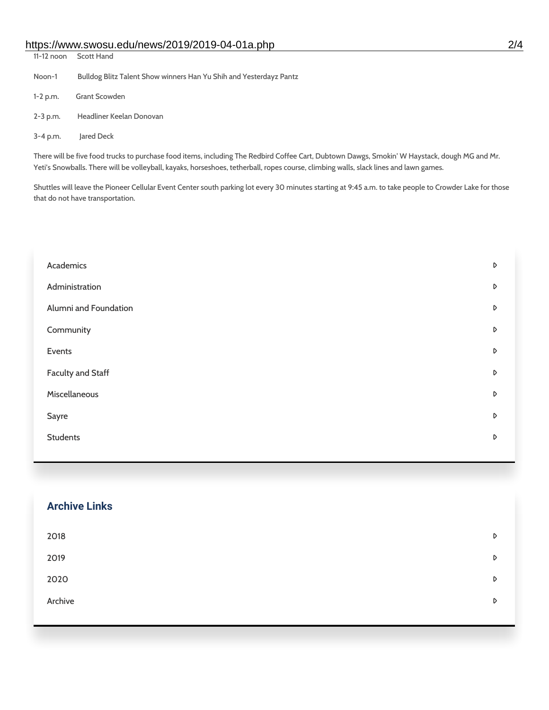### https://www.swosu.edu/news/2019/2019-04-01a.php 2/4

| 11-12 noon                                                                                                                                    | Scott Hand                                                         |  |
|-----------------------------------------------------------------------------------------------------------------------------------------------|--------------------------------------------------------------------|--|
| Noon-1                                                                                                                                        | Bulldog Blitz Talent Show winners Han Yu Shih and Yesterdayz Pantz |  |
| $1 - 2 p.m.$                                                                                                                                  | Grant Scowden                                                      |  |
| $2 - 3$ p.m.                                                                                                                                  | Headliner Keelan Donovan                                           |  |
| $3 - 4$ p.m.                                                                                                                                  | lared Deck                                                         |  |
| There will be five food trucks to purchase food items, including The Redbird Coffee Cart, Dubtown Dawgs, Smokin' W Haystack, dough MG and Mr. |                                                                    |  |

Yeti's Snowballs. There will be volleyball, kayaks, horseshoes, tetherball, ropes course, climbing walls, slack lines and lawn games.

Shuttles will leave the Pioneer Cellular Event Center south parking lot every 30 minutes starting at 9:45 a.m. to take people to Crowder Lake for those that do not have transportation.

| Academics                |   |
|--------------------------|---|
| Administration           |   |
| Alumni and Foundation    |   |
| Community                | D |
| Events                   | D |
| <b>Faculty and Staff</b> | D |
| Miscellaneous            |   |
| Sayre                    | D |
| <b>Students</b>          |   |
|                          |   |

| <b>Archive Links</b> |   |
|----------------------|---|
| 2018                 | D |
| 2019                 | D |
| 2020                 | D |
| Archive              | D |
|                      |   |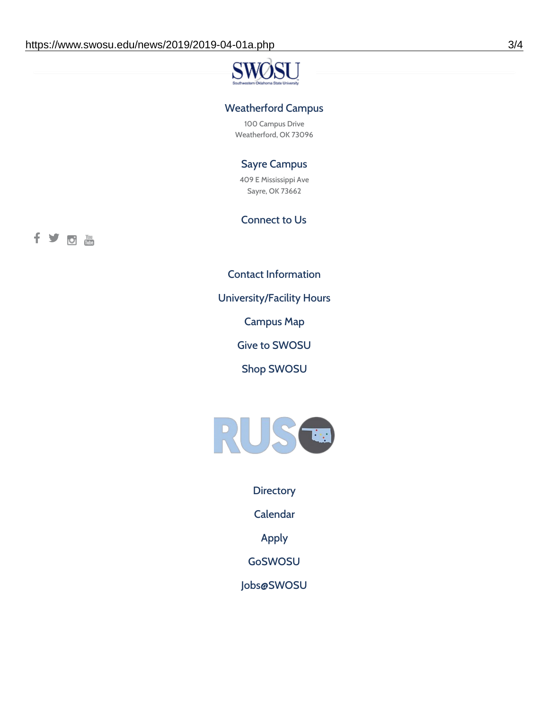# **SV**

### Weatherford Campus

100 Campus Drive Weatherford, OK 73096

### Sayre Campus

409 E Mississippi Ave Sayre, OK 73662

### Connect to Us

fyoth

Contact [Information](https://www.swosu.edu/about/contact.php)

[University/Facility](https://www.swosu.edu/about/operating-hours.php) Hours

[Campus](https://map.concept3d.com/?id=768#!ct/10964,10214,10213,10212,10205,10204,10203,10202,10136,10129,10128,0,31226,10130,10201,10641,0) Map

Give to [SWOSU](https://standingfirmly.com/donate)

Shop [SWOSU](https://shopswosu.merchorders.com/)



**[Directory](https://www.swosu.edu/directory/index.php)** 

[Calendar](https://eventpublisher.dudesolutions.com/swosu/)

[Apply](https://www.swosu.edu/admissions/apply-to-swosu.php)

[GoSWOSU](https://qlsso.quicklaunchsso.com/home/1267)

[Jobs@SWOSU](https://swosu.csod.com/ux/ats/careersite/1/home?c=swosu)